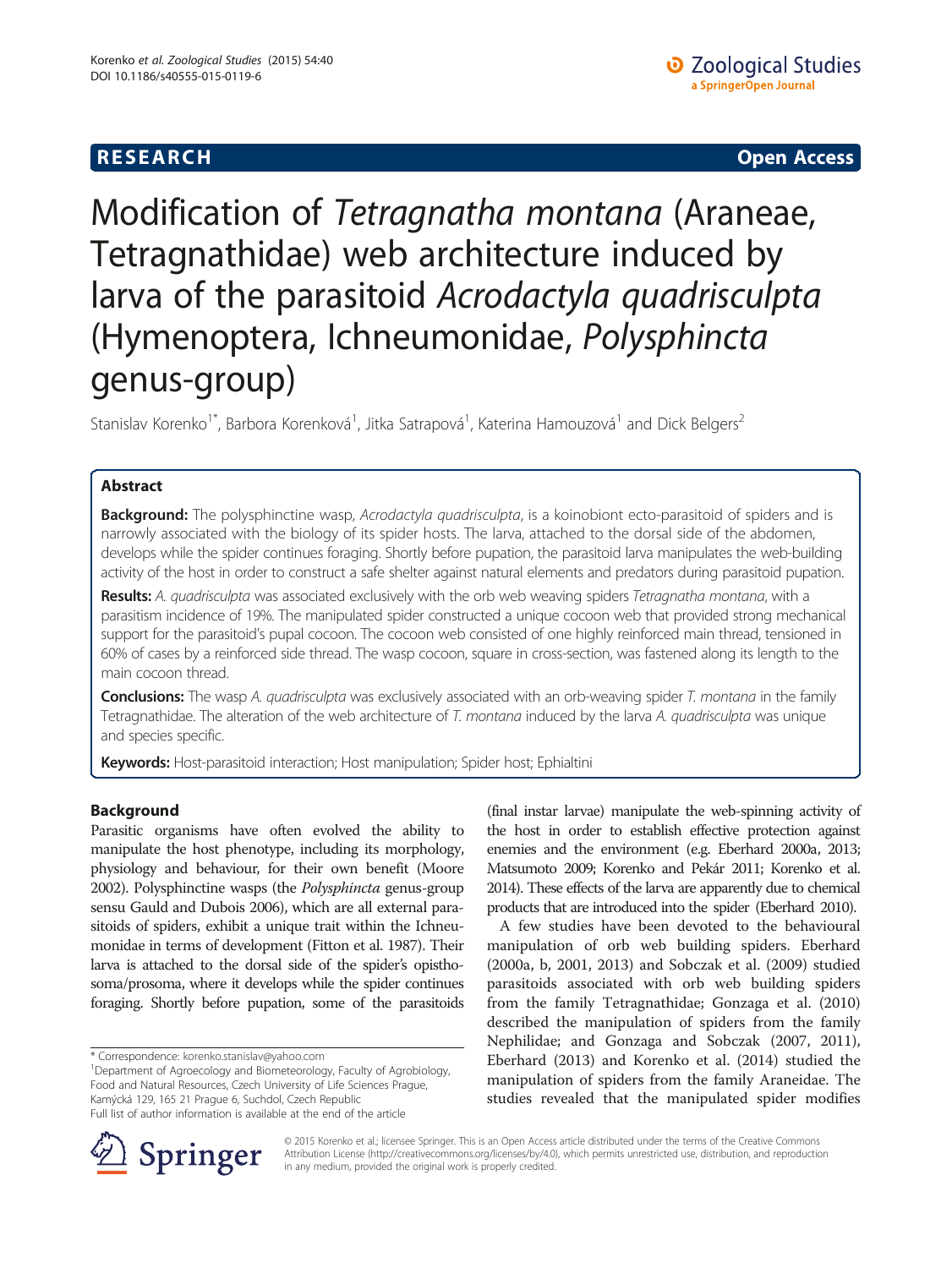# **RESEARCH CHE Open Access**

# Modification of Tetragnatha montana (Araneae, Tetragnathidae) web architecture induced by larva of the parasitoid Acrodactyla quadrisculpta (Hymenoptera, Ichneumonidae, Polysphincta genus-group)

Stanislav Korenko<sup>1\*</sup>, Barbora Korenková<sup>1</sup>, Jitka Satrapová<sup>1</sup>, Katerina Hamouzová<sup>1</sup> and Dick Belgers<sup>2</sup>

# Abstract

Background: The polysphinctine wasp, Acrodactyla quadrisculpta, is a koinobiont ecto-parasitoid of spiders and is narrowly associated with the biology of its spider hosts. The larva, attached to the dorsal side of the abdomen, develops while the spider continues foraging. Shortly before pupation, the parasitoid larva manipulates the web-building activity of the host in order to construct a safe shelter against natural elements and predators during parasitoid pupation.

Results: A. quadrisculpta was associated exclusively with the orb web weaving spiders Tetragnatha montana, with a parasitism incidence of 19%. The manipulated spider constructed a unique cocoon web that provided strong mechanical support for the parasitoid's pupal cocoon. The cocoon web consisted of one highly reinforced main thread, tensioned in 60% of cases by a reinforced side thread. The wasp cocoon, square in cross-section, was fastened along its length to the main cocoon thread.

**Conclusions:** The wasp A. quadrisculpta was exclusively associated with an orb-weaving spider T. montana in the family Tetragnathidae. The alteration of the web architecture of T. montana induced by the larva A. quadrisculpta was unique and species specific.

Keywords: Host-parasitoid interaction; Host manipulation; Spider host; Ephialtini

# Background

Parasitic organisms have often evolved the ability to manipulate the host phenotype, including its morphology, physiology and behaviour, for their own benefit (Moore [2002\)](#page-6-0). Polysphinctine wasps (the Polysphincta genus-group sensu Gauld and Dubois 2006), which are all external parasitoids of spiders, exhibit a unique trait within the Ichneumonidae in terms of development (Fitton et al. [1987](#page-6-0)). Their larva is attached to the dorsal side of the spider's opisthosoma/prosoma, where it develops while the spider continues foraging. Shortly before pupation, some of the parasitoids

\* Correspondence: [korenko.stanislav@yahoo.com](mailto:korenko.stanislav@yahoo.com) <sup>1</sup>

Department of Agroecology and Biometeorology, Faculty of Agrobiology, Food and Natural Resources, Czech University of Life Sciences Prague, Kamýcká 129, 165 21 Prague 6, Suchdol, Czech Republic Full list of author information is available at the end of the article

(final instar larvae) manipulate the web-spinning activity of the host in order to establish effective protection against enemies and the environment (e.g. Eberhard [2000a](#page-6-0), [2013](#page-6-0); Matsumoto [2009;](#page-6-0) Korenko and Pekár [2011;](#page-6-0) Korenko et al. [2014\)](#page-6-0). These effects of the larva are apparently due to chemical products that are introduced into the spider (Eberhard [2010](#page-6-0)).

A few studies have been devoted to the behavioural manipulation of orb web building spiders. Eberhard ([2000a](#page-6-0), [b, 2001](#page-6-0), [2013\)](#page-6-0) and Sobczak et al. ([2009](#page-6-0)) studied parasitoids associated with orb web building spiders from the family Tetragnathidae; Gonzaga et al. ([2010](#page-6-0)) described the manipulation of spiders from the family Nephilidae; and Gonzaga and Sobczak [\(2007](#page-6-0), [2011](#page-6-0)), Eberhard ([2013](#page-6-0)) and Korenko et al. [\(2014](#page-6-0)) studied the manipulation of spiders from the family Araneidae. The studies revealed that the manipulated spider modifies



© 2015 Korenko et al.; licensee Springer. This is an Open Access article distributed under the terms of the Creative Commons Attribution License [\(http://creativecommons.org/licenses/by/4.0\)](http://creativecommons.org/licenses/by/4.0), which permits unrestricted use, distribution, and reproduction in any medium, provided the original work is properly credited.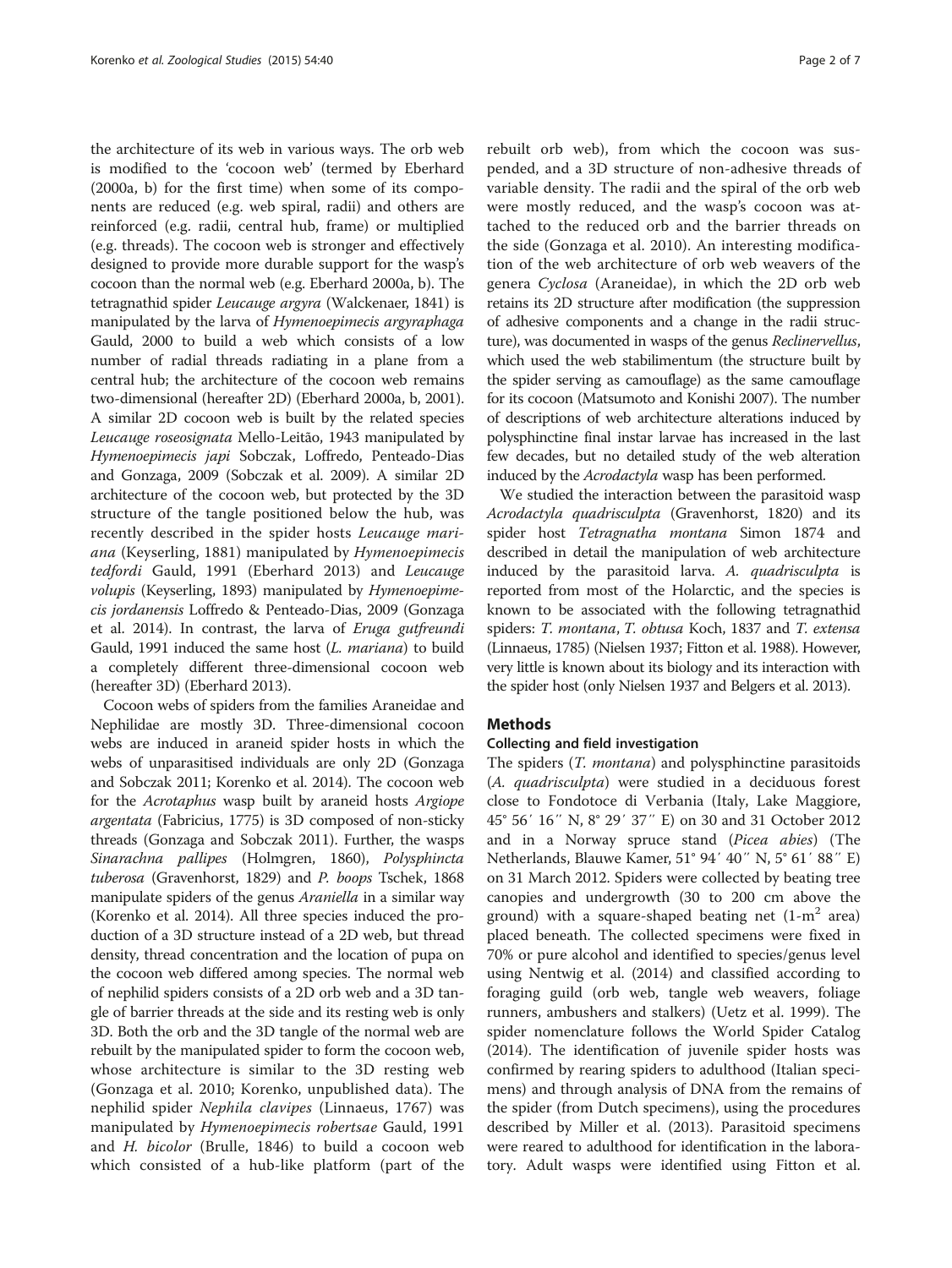the architecture of its web in various ways. The orb web is modified to the 'cocoon web' (termed by Eberhard ([2000a](#page-6-0), [b](#page-6-0)) for the first time) when some of its components are reduced (e.g. web spiral, radii) and others are reinforced (e.g. radii, central hub, frame) or multiplied (e.g. threads). The cocoon web is stronger and effectively designed to provide more durable support for the wasp's cocoon than the normal web (e.g. Eberhard [2000a, b\)](#page-6-0). The tetragnathid spider Leucauge argyra (Walckenaer, 1841) is manipulated by the larva of Hymenoepimecis argyraphaga Gauld, 2000 to build a web which consists of a low number of radial threads radiating in a plane from a central hub; the architecture of the cocoon web remains two-dimensional (hereafter 2D) (Eberhard [2000a](#page-6-0), [b](#page-6-0), [2001](#page-6-0)). A similar 2D cocoon web is built by the related species Leucauge roseosignata Mello-Leitão, 1943 manipulated by Hymenoepimecis japi Sobczak, Loffredo, Penteado-Dias and Gonzaga, 2009 (Sobczak et al. [2009](#page-6-0)). A similar 2D architecture of the cocoon web, but protected by the 3D structure of the tangle positioned below the hub, was recently described in the spider hosts Leucauge mariana (Keyserling, 1881) manipulated by Hymenoepimecis tedfordi Gauld, 1991 (Eberhard [2013\)](#page-6-0) and Leucauge volupis (Keyserling, 1893) manipulated by Hymenoepimecis jordanensis Loffredo & Penteado-Dias, 2009 (Gonzaga et al. [2014](#page-6-0)). In contrast, the larva of Eruga gutfreundi Gauld, 1991 induced the same host (L. mariana) to build a completely different three-dimensional cocoon web (hereafter 3D) (Eberhard [2013\)](#page-6-0).

Cocoon webs of spiders from the families Araneidae and Nephilidae are mostly 3D. Three-dimensional cocoon webs are induced in araneid spider hosts in which the webs of unparasitised individuals are only 2D (Gonzaga and Sobczak [2011;](#page-6-0) Korenko et al. [2014\)](#page-6-0). The cocoon web for the Acrotaphus wasp built by araneid hosts Argiope argentata (Fabricius, 1775) is 3D composed of non-sticky threads (Gonzaga and Sobczak [2011](#page-6-0)). Further, the wasps Sinarachna pallipes (Holmgren, 1860), Polysphincta tuberosa (Gravenhorst, 1829) and P. boops Tschek, 1868 manipulate spiders of the genus Araniella in a similar way (Korenko et al. [2014](#page-6-0)). All three species induced the production of a 3D structure instead of a 2D web, but thread density, thread concentration and the location of pupa on the cocoon web differed among species. The normal web of nephilid spiders consists of a 2D orb web and a 3D tangle of barrier threads at the side and its resting web is only 3D. Both the orb and the 3D tangle of the normal web are rebuilt by the manipulated spider to form the cocoon web, whose architecture is similar to the 3D resting web (Gonzaga et al. [2010;](#page-6-0) Korenko, unpublished data). The nephilid spider Nephila clavipes (Linnaeus, 1767) was manipulated by Hymenoepimecis robertsae Gauld, 1991 and H. bicolor (Brulle, 1846) to build a cocoon web which consisted of a hub-like platform (part of the

rebuilt orb web), from which the cocoon was suspended, and a 3D structure of non-adhesive threads of variable density. The radii and the spiral of the orb web were mostly reduced, and the wasp's cocoon was attached to the reduced orb and the barrier threads on the side (Gonzaga et al. [2010\)](#page-6-0). An interesting modification of the web architecture of orb web weavers of the genera Cyclosa (Araneidae), in which the 2D orb web retains its 2D structure after modification (the suppression of adhesive components and a change in the radii structure), was documented in wasps of the genus Reclinervellus, which used the web stabilimentum (the structure built by the spider serving as camouflage) as the same camouflage for its cocoon (Matsumoto and Konishi [2007](#page-6-0)). The number of descriptions of web architecture alterations induced by polysphinctine final instar larvae has increased in the last few decades, but no detailed study of the web alteration induced by the Acrodactyla wasp has been performed.

We studied the interaction between the parasitoid wasp Acrodactyla quadrisculpta (Gravenhorst, 1820) and its spider host Tetragnatha montana Simon 1874 and described in detail the manipulation of web architecture induced by the parasitoid larva. A. quadrisculpta is reported from most of the Holarctic, and the species is known to be associated with the following tetragnathid spiders: T. montana, T. obtusa Koch, 1837 and T. extensa (Linnaeus, 1785) (Nielsen [1937;](#page-6-0) Fitton et al. [1988\)](#page-6-0). However, very little is known about its biology and its interaction with the spider host (only Nielsen [1937](#page-6-0) and Belgers et al. [2013](#page-6-0)).

# **Methods**

# Collecting and field investigation

The spiders (*T. montana*) and polysphinctine parasitoids (A. quadrisculpta) were studied in a deciduous forest close to Fondotoce di Verbania (Italy, Lake Maggiore, 45° 56′ 16″ N, 8° 29′ 37″ E) on 30 and 31 October 2012 and in a Norway spruce stand (Picea abies) (The Netherlands, Blauwe Kamer, 51° 94′ 40″ N, 5° 61′ 88″ E) on 31 March 2012. Spiders were collected by beating tree canopies and undergrowth (30 to 200 cm above the ground) with a square-shaped beating net  $(1-m^2 \text{ area})$ placed beneath. The collected specimens were fixed in 70% or pure alcohol and identified to species/genus level using Nentwig et al. [\(2014](#page-6-0)) and classified according to foraging guild (orb web, tangle web weavers, foliage runners, ambushers and stalkers) (Uetz et al. [1999\)](#page-6-0). The spider nomenclature follows the World Spider Catalog ([2014\)](#page-6-0). The identification of juvenile spider hosts was confirmed by rearing spiders to adulthood (Italian specimens) and through analysis of DNA from the remains of the spider (from Dutch specimens), using the procedures described by Miller et al. [\(2013\)](#page-6-0). Parasitoid specimens were reared to adulthood for identification in the laboratory. Adult wasps were identified using Fitton et al.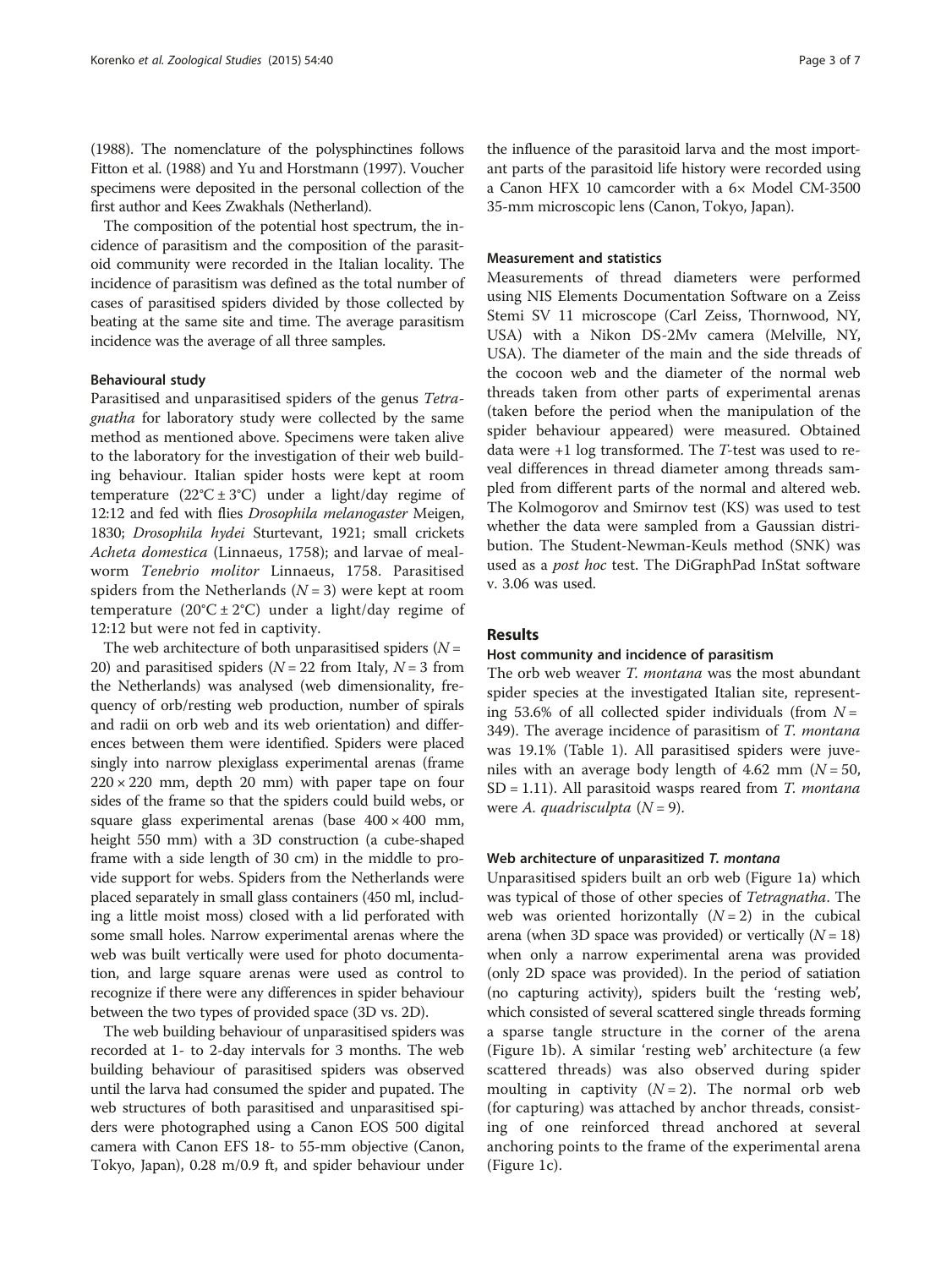([1988\)](#page-6-0). The nomenclature of the polysphinctines follows Fitton et al. [\(1988\)](#page-6-0) and Yu and Horstmann [\(1997](#page-6-0)). Voucher specimens were deposited in the personal collection of the first author and Kees Zwakhals (Netherland).

The composition of the potential host spectrum, the incidence of parasitism and the composition of the parasitoid community were recorded in the Italian locality. The incidence of parasitism was defined as the total number of cases of parasitised spiders divided by those collected by beating at the same site and time. The average parasitism incidence was the average of all three samples.

#### Behavioural study

Parasitised and unparasitised spiders of the genus Tetragnatha for laboratory study were collected by the same method as mentioned above. Specimens were taken alive to the laboratory for the investigation of their web building behaviour. Italian spider hosts were kept at room temperature  $(22^{\circ}C \pm 3^{\circ}C)$  under a light/day regime of 12:12 and fed with flies Drosophila melanogaster Meigen, 1830; Drosophila hydei Sturtevant, 1921; small crickets Acheta domestica (Linnaeus, 1758); and larvae of mealworm Tenebrio molitor Linnaeus, 1758. Parasitised spiders from the Netherlands  $(N = 3)$  were kept at room temperature  $(20^{\circ}C \pm 2^{\circ}C)$  under a light/day regime of 12:12 but were not fed in captivity.

The web architecture of both unparasitised spiders ( $N =$ 20) and parasitised spiders ( $N = 22$  from Italy,  $N = 3$  from the Netherlands) was analysed (web dimensionality, frequency of orb/resting web production, number of spirals and radii on orb web and its web orientation) and differences between them were identified. Spiders were placed singly into narrow plexiglass experimental arenas (frame  $220 \times 220$  mm, depth 20 mm) with paper tape on four sides of the frame so that the spiders could build webs, or square glass experimental arenas (base  $400 \times 400$  mm, height 550 mm) with a 3D construction (a cube-shaped frame with a side length of 30 cm) in the middle to provide support for webs. Spiders from the Netherlands were placed separately in small glass containers (450 ml, including a little moist moss) closed with a lid perforated with some small holes. Narrow experimental arenas where the web was built vertically were used for photo documentation, and large square arenas were used as control to recognize if there were any differences in spider behaviour between the two types of provided space (3D vs. 2D).

The web building behaviour of unparasitised spiders was recorded at 1- to 2-day intervals for 3 months. The web building behaviour of parasitised spiders was observed until the larva had consumed the spider and pupated. The web structures of both parasitised and unparasitised spiders were photographed using a Canon EOS 500 digital camera with Canon EFS 18- to 55-mm objective (Canon, Tokyo, Japan), 0.28 m/0.9 ft, and spider behaviour under

the influence of the parasitoid larva and the most important parts of the parasitoid life history were recorded using a Canon HFX 10 camcorder with a 6× Model CM-3500 35-mm microscopic lens (Canon, Tokyo, Japan).

#### Measurement and statistics

Measurements of thread diameters were performed using NIS Elements Documentation Software on a Zeiss Stemi SV 11 microscope (Carl Zeiss, Thornwood, NY, USA) with a Nikon DS-2Mv camera (Melville, NY, USA). The diameter of the main and the side threads of the cocoon web and the diameter of the normal web threads taken from other parts of experimental arenas (taken before the period when the manipulation of the spider behaviour appeared) were measured. Obtained data were +1 log transformed. The T-test was used to reveal differences in thread diameter among threads sampled from different parts of the normal and altered web. The Kolmogorov and Smirnov test (KS) was used to test whether the data were sampled from a Gaussian distribution. The Student-Newman-Keuls method (SNK) was used as a *post hoc* test. The DiGraphPad InStat software v. 3.06 was used.

#### Results

#### Host community and incidence of parasitism

The orb web weaver T. montana was the most abundant spider species at the investigated Italian site, representing 53.6% of all collected spider individuals (from  $N =$ 349). The average incidence of parasitism of T. montana was 19.1% (Table [1](#page-3-0)). All parasitised spiders were juveniles with an average body length of 4.62 mm ( $N = 50$ ,  $SD = 1.11$ ). All parasitoid wasps reared from T. *montana* were A. quadrisculpta  $(N = 9)$ .

#### Web architecture of unparasitized T. montana

Unparasitised spiders built an orb web (Figure [1](#page-3-0)a) which was typical of those of other species of *Tetragnatha*. The web was oriented horizontally  $(N = 2)$  in the cubical arena (when 3D space was provided) or vertically  $(N = 18)$ when only a narrow experimental arena was provided (only 2D space was provided). In the period of satiation (no capturing activity), spiders built the 'resting web', which consisted of several scattered single threads forming a sparse tangle structure in the corner of the arena (Figure [1](#page-3-0)b). A similar 'resting web' architecture (a few scattered threads) was also observed during spider moulting in captivity  $(N = 2)$ . The normal orb web (for capturing) was attached by anchor threads, consisting of one reinforced thread anchored at several anchoring points to the frame of the experimental arena (Figure [1](#page-3-0)c).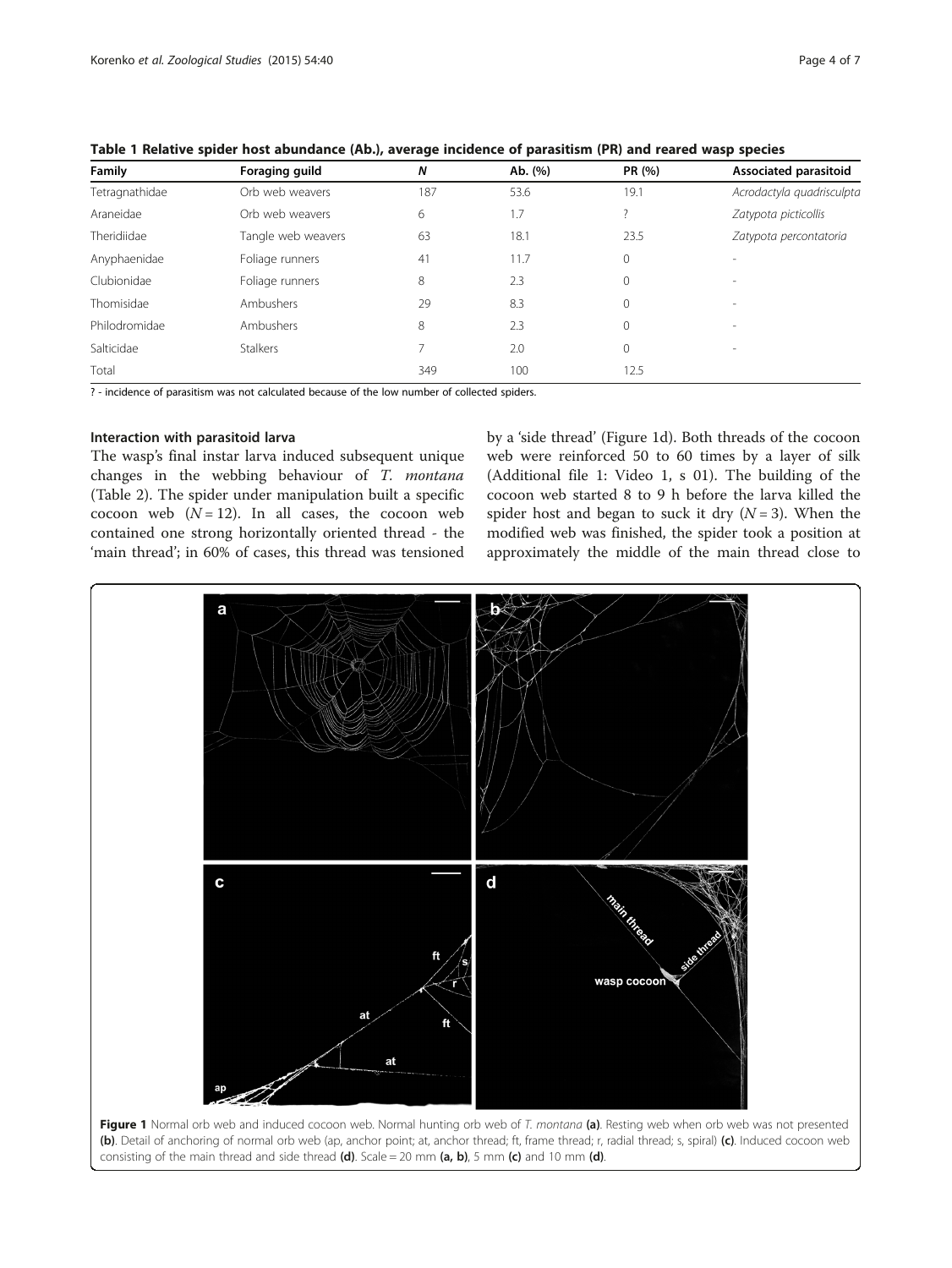| Family         | Foraging guild     | N   | Ab. (%)<br>53.6 | PR (%)<br>19.1 | Associated parasitoid<br>Acrodactyla quadrisculpta |  |
|----------------|--------------------|-----|-----------------|----------------|----------------------------------------------------|--|
| Tetragnathidae | Orb web weavers    | 187 |                 |                |                                                    |  |
| Araneidae      | Orb web weavers    | 6   | 1.7             |                | Zatypota picticollis                               |  |
| Theridiidae    | Tangle web weavers | 63  | 18.1            | 23.5           | Zatypota percontatoria                             |  |
| Anyphaenidae   | Foliage runners    | 41  | 11.7            | 0              | $\overline{\phantom{a}}$                           |  |
| Clubionidae    | Foliage runners    | 8   | 2.3             | 0              | $\sim$                                             |  |
| Thomisidae     | Ambushers          | 29  | 8.3             | $\Omega$       | $\sim$                                             |  |
| Philodromidae  | Ambushers          | 8   | 2.3             | $\Omega$       | $\overline{\phantom{a}}$                           |  |
| Salticidae     | <b>Stalkers</b>    |     | 2.0             | 0              | $\overline{\phantom{a}}$                           |  |
| Total          |                    | 349 | 100             | 12.5           |                                                    |  |

<span id="page-3-0"></span>Table 1 Relative spider host abundance (Ab.), average incidence of parasitism (PR) and reared wasp species

? - incidence of parasitism was not calculated because of the low number of collected spiders.

# Interaction with parasitoid larva

The wasp's final instar larva induced subsequent unique changes in the webbing behaviour of T. montana (Table [2](#page-4-0)). The spider under manipulation built a specific cocoon web  $(N = 12)$ . In all cases, the cocoon web contained one strong horizontally oriented thread - the 'main thread'; in 60% of cases, this thread was tensioned by a 'side thread' (Figure 1d). Both threads of the cocoon web were reinforced 50 to 60 times by a layer of silk (Additional file [1:](#page-5-0) Video 1, s 01). The building of the cocoon web started 8 to 9 h before the larva killed the spider host and began to suck it dry  $(N = 3)$ . When the modified web was finished, the spider took a position at approximately the middle of the main thread close to

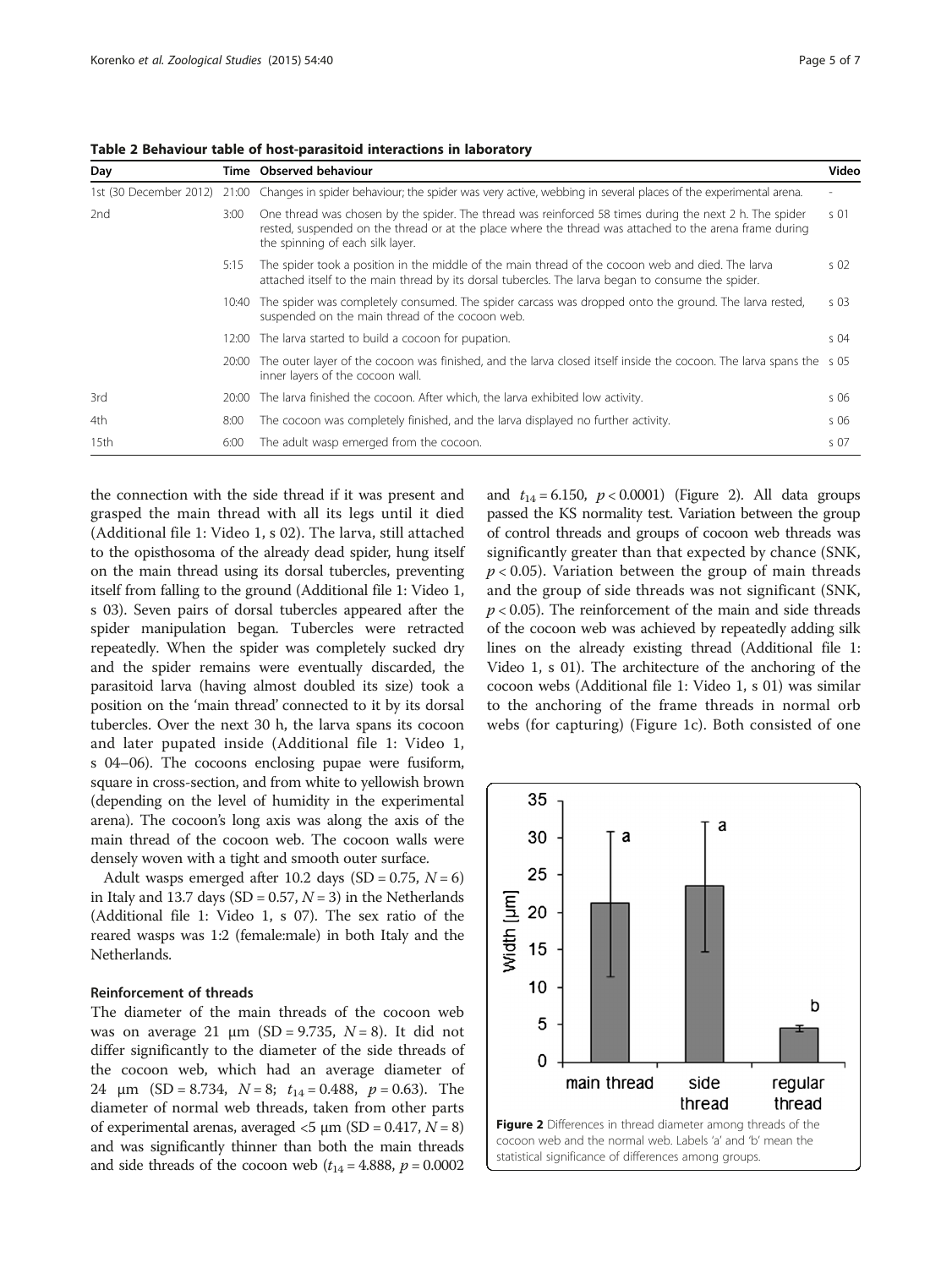| Day             |       | Time Observed behaviour                                                                                                                                                                                                                                | Video           |
|-----------------|-------|--------------------------------------------------------------------------------------------------------------------------------------------------------------------------------------------------------------------------------------------------------|-----------------|
|                 |       | 1st (30 December 2012) 21:00 Changes in spider behaviour; the spider was very active, webbing in several places of the experimental arena.                                                                                                             |                 |
| 2 <sub>nd</sub> | 3:00  | One thread was chosen by the spider. The thread was reinforced 58 times during the next 2 h. The spider<br>rested, suspended on the thread or at the place where the thread was attached to the arena frame during<br>the spinning of each silk layer. | $\varsigma$ 01  |
|                 | 5:15  | The spider took a position in the middle of the main thread of the cocoon web and died. The larva<br>attached itself to the main thread by its dorsal tubercles. The larva began to consume the spider.                                                | S <sub>02</sub> |
|                 | 10:40 | The spider was completely consumed. The spider carcass was dropped onto the ground. The larva rested,<br>suspended on the main thread of the cocoon web.                                                                                               | S <sub>03</sub> |
|                 | 12:00 | The larva started to build a cocoon for pupation.                                                                                                                                                                                                      | $S$ 04          |
|                 | 20:00 | The outer layer of the cocoon was finished, and the larva closed itself inside the cocoon. The larva spans the s 05<br>inner layers of the cocoon wall.                                                                                                |                 |
| 3rd             | 20:00 | The larva finished the cocoon. After which, the larva exhibited low activity.                                                                                                                                                                          | $S$ 06          |
| 4th             | 8:00  | The cocoon was completely finished, and the larva displayed no further activity.                                                                                                                                                                       | s 06            |
| 15th            | 6:00  | The adult wasp emerged from the cocoon.                                                                                                                                                                                                                | s 07            |

<span id="page-4-0"></span>Table 2 Behaviour table of host-parasitoid interactions in laboratory

the connection with the side thread if it was present and grasped the main thread with all its legs until it died (Additional file [1](#page-5-0): Video 1, s 02). The larva, still attached to the opisthosoma of the already dead spider, hung itself on the main thread using its dorsal tubercles, preventing itself from falling to the ground (Additional file [1:](#page-5-0) Video 1, s 03). Seven pairs of dorsal tubercles appeared after the spider manipulation began. Tubercles were retracted repeatedly. When the spider was completely sucked dry and the spider remains were eventually discarded, the parasitoid larva (having almost doubled its size) took a position on the 'main thread' connected to it by its dorsal tubercles. Over the next 30 h, the larva spans its cocoon and later pupated inside (Additional file [1](#page-5-0): Video 1, s 04–06). The cocoons enclosing pupae were fusiform, square in cross-section, and from white to yellowish brown (depending on the level of humidity in the experimental arena). The cocoon's long axis was along the axis of the main thread of the cocoon web. The cocoon walls were densely woven with a tight and smooth outer surface.

Adult wasps emerged after 10.2 days  $(SD = 0.75, N = 6)$ in Italy and 13.7 days (SD =  $0.57$ ,  $N = 3$ ) in the Netherlands (Additional file [1](#page-5-0): Video 1, s 07). The sex ratio of the reared wasps was 1:2 (female:male) in both Italy and the Netherlands.

#### Reinforcement of threads

The diameter of the main threads of the cocoon web was on average 21  $\mu$ m (SD = 9.735, N = 8). It did not differ significantly to the diameter of the side threads of the cocoon web, which had an average diameter of 24  $\mu$ m (SD = 8.734,  $N = 8$ ;  $t_{14} = 0.488$ ,  $p = 0.63$ ). The diameter of normal web threads, taken from other parts of experimental arenas, averaged  $<$ 5  $\mu$ m (SD = 0.417, N = 8) and was significantly thinner than both the main threads and side threads of the cocoon web  $(t_{14} = 4.888, p = 0.0002)$  and  $t_{14} = 6.150$ ,  $p < 0.0001$ ) (Figure 2). All data groups passed the KS normality test. Variation between the group of control threads and groups of cocoon web threads was significantly greater than that expected by chance (SNK,  $p < 0.05$ ). Variation between the group of main threads and the group of side threads was not significant (SNK,  $p < 0.05$ ). The reinforcement of the main and side threads of the cocoon web was achieved by repeatedly adding silk lines on the already existing thread (Additional file [1](#page-5-0): Video 1, s 01). The architecture of the anchoring of the cocoon webs (Additional file [1](#page-5-0): Video 1, s 01) was similar to the anchoring of the frame threads in normal orb webs (for capturing) (Figure [1](#page-3-0)c). Both consisted of one

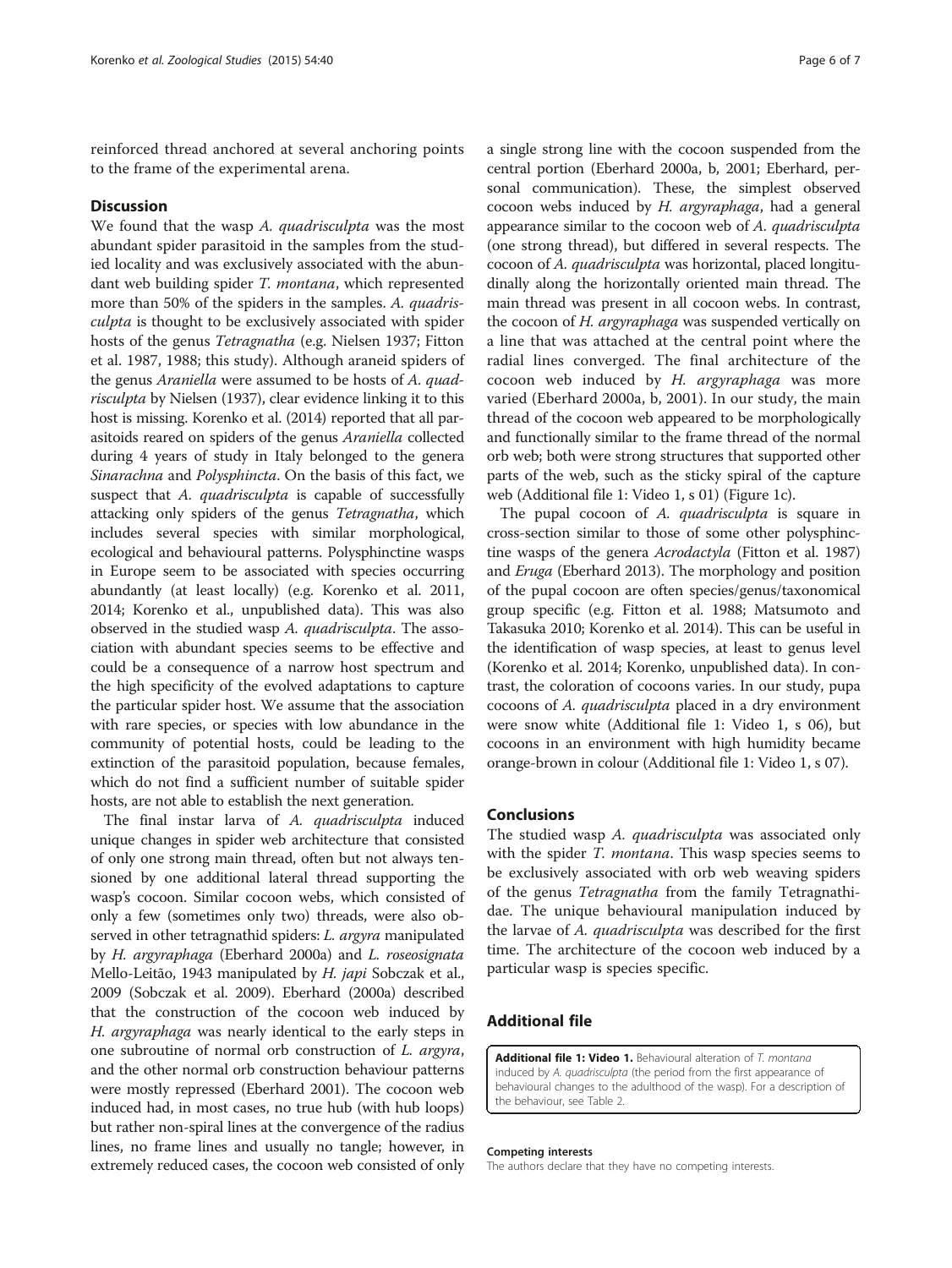<span id="page-5-0"></span>reinforced thread anchored at several anchoring points to the frame of the experimental arena.

#### **Discussion**

We found that the wasp A. quadrisculpta was the most abundant spider parasitoid in the samples from the studied locality and was exclusively associated with the abundant web building spider T. montana, which represented more than 50% of the spiders in the samples. A. quadrisculpta is thought to be exclusively associated with spider hosts of the genus Tetragnatha (e.g. Nielsen [1937;](#page-6-0) Fitton et al. [1987, 1988;](#page-6-0) this study). Although araneid spiders of the genus Araniella were assumed to be hosts of A. quadrisculpta by Nielsen ([1937\)](#page-6-0), clear evidence linking it to this host is missing. Korenko et al. [\(2014](#page-6-0)) reported that all parasitoids reared on spiders of the genus Araniella collected during 4 years of study in Italy belonged to the genera Sinarachna and Polysphincta. On the basis of this fact, we suspect that A. quadrisculpta is capable of successfully attacking only spiders of the genus Tetragnatha, which includes several species with similar morphological, ecological and behavioural patterns. Polysphinctine wasps in Europe seem to be associated with species occurring abundantly (at least locally) (e.g. Korenko et al. [2011](#page-6-0), [2014;](#page-6-0) Korenko et al., unpublished data). This was also observed in the studied wasp A. quadrisculpta. The association with abundant species seems to be effective and could be a consequence of a narrow host spectrum and the high specificity of the evolved adaptations to capture the particular spider host. We assume that the association with rare species, or species with low abundance in the community of potential hosts, could be leading to the extinction of the parasitoid population, because females, which do not find a sufficient number of suitable spider hosts, are not able to establish the next generation.

The final instar larva of A. quadrisculpta induced unique changes in spider web architecture that consisted of only one strong main thread, often but not always tensioned by one additional lateral thread supporting the wasp's cocoon. Similar cocoon webs, which consisted of only a few (sometimes only two) threads, were also observed in other tetragnathid spiders: *L. argyra* manipulated by H. argyraphaga (Eberhard [2000a\)](#page-6-0) and L. roseosignata Mello-Leitão, 1943 manipulated by H. japi Sobczak et al., [2009](#page-6-0) (Sobczak et al. [2009\)](#page-6-0). Eberhard [\(2000a\)](#page-6-0) described that the construction of the cocoon web induced by H. argyraphaga was nearly identical to the early steps in one subroutine of normal orb construction of L. argyra, and the other normal orb construction behaviour patterns were mostly repressed (Eberhard [2001](#page-6-0)). The cocoon web induced had, in most cases, no true hub (with hub loops) but rather non-spiral lines at the convergence of the radius lines, no frame lines and usually no tangle; however, in extremely reduced cases, the cocoon web consisted of only

a single strong line with the cocoon suspended from the central portion (Eberhard [2000a](#page-6-0), [b](#page-6-0), [2001](#page-6-0); Eberhard, personal communication). These, the simplest observed cocoon webs induced by H. argyraphaga, had a general appearance similar to the cocoon web of A. quadrisculpta (one strong thread), but differed in several respects. The cocoon of A. quadrisculpta was horizontal, placed longitudinally along the horizontally oriented main thread. The main thread was present in all cocoon webs. In contrast, the cocoon of H. argyraphaga was suspended vertically on a line that was attached at the central point where the radial lines converged. The final architecture of the cocoon web induced by H. argyraphaga was more varied (Eberhard [2000a, b, 2001](#page-6-0)). In our study, the main thread of the cocoon web appeared to be morphologically and functionally similar to the frame thread of the normal orb web; both were strong structures that supported other parts of the web, such as the sticky spiral of the capture web (Additional file 1: Video 1, s 01) (Figure [1](#page-3-0)c).

The pupal cocoon of A. *quadrisculpta* is square in cross-section similar to those of some other polysphinc-tine wasps of the genera Acrodactyla (Fitton et al. [1987](#page-6-0)) and Eruga (Eberhard [2013\)](#page-6-0). The morphology and position of the pupal cocoon are often species/genus/taxonomical group specific (e.g. Fitton et al. [1988;](#page-6-0) Matsumoto and Takasuka [2010;](#page-6-0) Korenko et al. [2014\)](#page-6-0). This can be useful in the identification of wasp species, at least to genus level (Korenko et al. [2014;](#page-6-0) Korenko, unpublished data). In contrast, the coloration of cocoons varies. In our study, pupa cocoons of A. quadrisculpta placed in a dry environment were snow white (Additional file 1: Video 1, s 06), but cocoons in an environment with high humidity became orange-brown in colour (Additional file 1: Video 1, s 07).

#### **Conclusions**

The studied wasp A. quadrisculpta was associated only with the spider T. montana. This wasp species seems to be exclusively associated with orb web weaving spiders of the genus Tetragnatha from the family Tetragnathidae. The unique behavioural manipulation induced by the larvae of A. quadrisculpta was described for the first time. The architecture of the cocoon web induced by a particular wasp is species specific.

### Additional file

[Additional file 1: Video 1.](http://www.zoologicalstudies.com/content/supplementary/s40555-015-0119-6-s1.mp4) Behavioural alteration of T. montana induced by A. quadrisculpta (the period from the first appearance of behavioural changes to the adulthood of the wasp). For a description of the behaviour, see Table [2.](#page-4-0)

#### Competing interests

The authors declare that they have no competing interests.